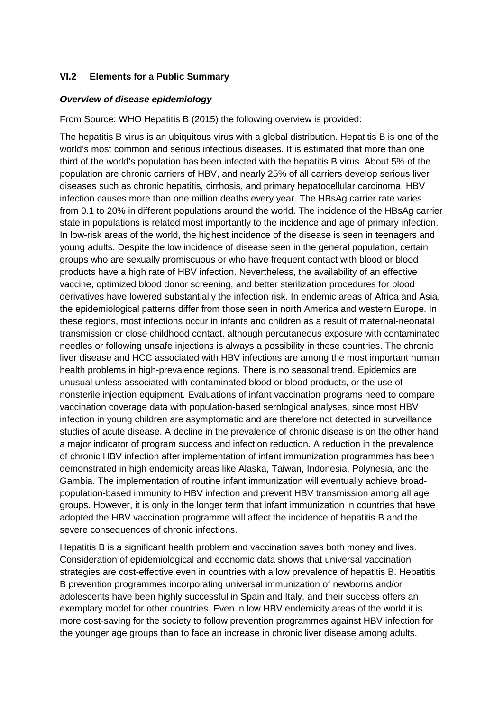## **VI.2 Elements for a Public Summary**

#### *Overview of disease epidemiology*

From Source: WHO Hepatitis B (2015) the following overview is provided:

The hepatitis B virus is an ubiquitous virus with a global distribution. Hepatitis B is one of the world's most common and serious infectious diseases. It is estimated that more than one third of the world's population has been infected with the hepatitis B virus. About 5% of the population are chronic carriers of HBV, and nearly 25% of all carriers develop serious liver diseases such as chronic hepatitis, cirrhosis, and primary hepatocellular carcinoma. HBV infection causes more than one million deaths every year. The HBsAg carrier rate varies from 0.1 to 20% in different populations around the world. The incidence of the HBsAg carrier state in populations is related most importantly to the incidence and age of primary infection. In low-risk areas of the world, the highest incidence of the disease is seen in teenagers and young adults. Despite the low incidence of disease seen in the general population, certain groups who are sexually promiscuous or who have frequent contact with blood or blood products have a high rate of HBV infection. Nevertheless, the availability of an effective vaccine, optimized blood donor screening, and better sterilization procedures for blood derivatives have lowered substantially the infection risk. In endemic areas of Africa and Asia, the epidemiological patterns differ from those seen in north America and western Europe. In these regions, most infections occur in infants and children as a result of maternal-neonatal transmission or close childhood contact, although percutaneous exposure with contaminated needles or following unsafe injections is always a possibility in these countries. The chronic liver disease and HCC associated with HBV infections are among the most important human health problems in high-prevalence regions. There is no seasonal trend. Epidemics are unusual unless associated with contaminated blood or blood products, or the use of nonsterile injection equipment. Evaluations of infant vaccination programs need to compare vaccination coverage data with population-based serological analyses, since most HBV infection in young children are asymptomatic and are therefore not detected in surveillance studies of acute disease. A decline in the prevalence of chronic disease is on the other hand a major indicator of program success and infection reduction. A reduction in the prevalence of chronic HBV infection after implementation of infant immunization programmes has been demonstrated in high endemicity areas like Alaska, Taiwan, Indonesia, Polynesia, and the Gambia. The implementation of routine infant immunization will eventually achieve broadpopulation-based immunity to HBV infection and prevent HBV transmission among all age groups. However, it is only in the longer term that infant immunization in countries that have adopted the HBV vaccination programme will affect the incidence of hepatitis B and the severe consequences of chronic infections.

Hepatitis B is a significant health problem and vaccination saves both money and lives. Consideration of epidemiological and economic data shows that universal vaccination strategies are cost-effective even in countries with a low prevalence of hepatitis B. Hepatitis B prevention programmes incorporating universal immunization of newborns and/or adolescents have been highly successful in Spain and Italy, and their success offers an exemplary model for other countries. Even in low HBV endemicity areas of the world it is more cost-saving for the society to follow prevention programmes against HBV infection for the younger age groups than to face an increase in chronic liver disease among adults.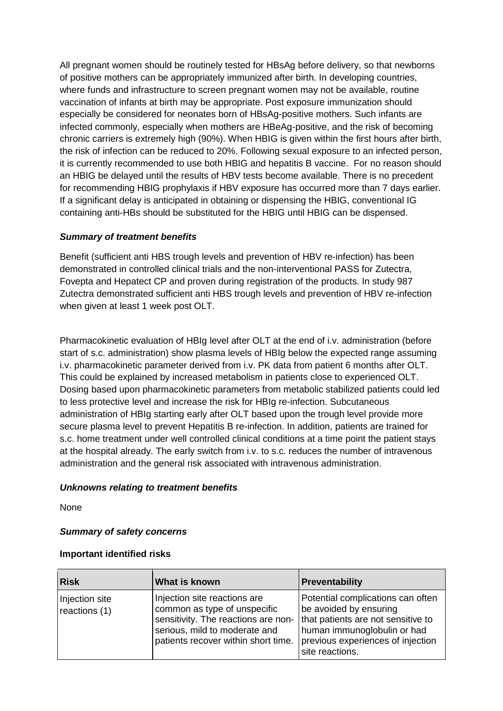All pregnant women should be routinely tested for HBsAg before delivery, so that newborns of positive mothers can be appropriately immunized after birth. In developing countries, where funds and infrastructure to screen pregnant women may not be available, routine vaccination of infants at birth may be appropriate. Post exposure immunization should especially be considered for neonates born of HBsAg-positive mothers. Such infants are infected commonly, especially when mothers are HBeAg-positive, and the risk of becoming chronic carriers is extremely high (90%). When HBIG is given within the first hours after birth, the risk of infection can be reduced to 20%. Following sexual exposure to an infected person, it is currently recommended to use both HBIG and hepatitis B vaccine. For no reason should an HBIG be delayed until the results of HBV tests become available. There is no precedent for recommending HBIG prophylaxis if HBV exposure has occurred more than 7 days earlier. If a significant delay is anticipated in obtaining or dispensing the HBIG, conventional IG containing anti-HBs should be substituted for the HBIG until HBIG can be dispensed.

## *Summary of treatment benefits*

Benefit (sufficient anti HBS trough levels and prevention of HBV re-infection) has been demonstrated in controlled clinical trials and the non-interventional PASS for Zutectra, Fovepta and Hepatect CP and proven during registration of the products. In study 987 Zutectra demonstrated sufficient anti HBS trough levels and prevention of HBV re-infection when given at least 1 week post OLT.

Pharmacokinetic evaluation of HBIg level after OLT at the end of i.v. administration (before start of s.c. administration) show plasma levels of HBIg below the expected range assuming i.v. pharmacokinetic parameter derived from i.v. PK data from patient 6 months after OLT. This could be explained by increased metabolism in patients close to experienced OLT. Dosing based upon pharmacokinetic parameters from metabolic stabilized patients could led to less protective level and increase the risk for HBIg re-infection. Subcutaneous administration of HBIg starting early after OLT based upon the trough level provide more secure plasma level to prevent Hepatitis B re-infection. In addition, patients are trained for s.c. home treatment under well controlled clinical conditions at a time point the patient stays at the hospital already. The early switch from i.v. to s.c. reduces the number of intravenous administration and the general risk associated with intravenous administration.

#### *Unknowns relating to treatment benefits*

None

# *Summary of safety concerns*

#### **Important identified risks**

| <b>Risk</b>                     | What is known                                                                                                                                                               | Preventability                                                                                                                                                                           |
|---------------------------------|-----------------------------------------------------------------------------------------------------------------------------------------------------------------------------|------------------------------------------------------------------------------------------------------------------------------------------------------------------------------------------|
| Injection site<br>reactions (1) | Injection site reactions are<br>common as type of unspecific<br>sensitivity. The reactions are non-<br>serious, mild to moderate and<br>patients recover within short time. | Potential complications can often<br>be avoided by ensuring<br>that patients are not sensitive to<br>human immunoglobulin or had<br>previous experiences of injection<br>site reactions. |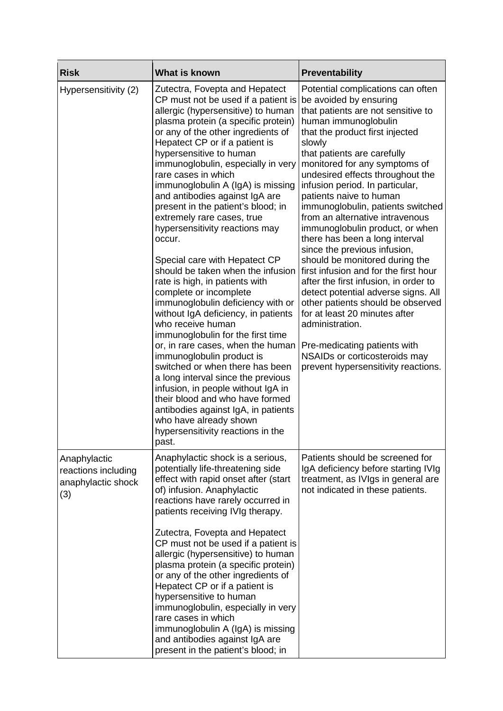| <b>Risk</b>                                                      | What is known                                                                                                                                                                                                                                                                                                                                                                                                                                                                                                                                                                                                                                                                                                                                                                                                                                                                                                                                                                                                                                                                                                        | Preventability                                                                                                                                                                                                                                                                                                                                                                                                                                                                                                                                                                                                                                                                                                                                                                                                                                                                    |
|------------------------------------------------------------------|----------------------------------------------------------------------------------------------------------------------------------------------------------------------------------------------------------------------------------------------------------------------------------------------------------------------------------------------------------------------------------------------------------------------------------------------------------------------------------------------------------------------------------------------------------------------------------------------------------------------------------------------------------------------------------------------------------------------------------------------------------------------------------------------------------------------------------------------------------------------------------------------------------------------------------------------------------------------------------------------------------------------------------------------------------------------------------------------------------------------|-----------------------------------------------------------------------------------------------------------------------------------------------------------------------------------------------------------------------------------------------------------------------------------------------------------------------------------------------------------------------------------------------------------------------------------------------------------------------------------------------------------------------------------------------------------------------------------------------------------------------------------------------------------------------------------------------------------------------------------------------------------------------------------------------------------------------------------------------------------------------------------|
| Hypersensitivity (2)                                             | Zutectra, Fovepta and Hepatect<br>CP must not be used if a patient is<br>allergic (hypersensitive) to human<br>plasma protein (a specific protein)<br>or any of the other ingredients of<br>Hepatect CP or if a patient is<br>hypersensitive to human<br>immunoglobulin, especially in very<br>rare cases in which<br>immunoglobulin A (IgA) is missing<br>and antibodies against IgA are<br>present in the patient's blood; in<br>extremely rare cases, true<br>hypersensitivity reactions may<br>occur.<br>Special care with Hepatect CP<br>should be taken when the infusion<br>rate is high, in patients with<br>complete or incomplete<br>immunoglobulin deficiency with or<br>without IgA deficiency, in patients<br>who receive human<br>immunoglobulin for the first time<br>or, in rare cases, when the human<br>immunoglobulin product is<br>switched or when there has been<br>a long interval since the previous<br>infusion, in people without IgA in<br>their blood and who have formed<br>antibodies against IgA, in patients<br>who have already shown<br>hypersensitivity reactions in the<br>past. | Potential complications can often<br>be avoided by ensuring<br>that patients are not sensitive to<br>human immunoglobulin<br>that the product first injected<br>slowly<br>that patients are carefully<br>monitored for any symptoms of<br>undesired effects throughout the<br>infusion period. In particular,<br>patients naive to human<br>immunoglobulin, patients switched<br>from an alternative intravenous<br>immunoglobulin product, or when<br>there has been a long interval<br>since the previous infusion,<br>should be monitored during the<br>first infusion and for the first hour<br>after the first infusion, in order to<br>detect potential adverse signs. All<br>other patients should be observed<br>for at least 20 minutes after<br>administration.<br>Pre-medicating patients with<br>NSAIDs or corticosteroids may<br>prevent hypersensitivity reactions. |
| Anaphylactic<br>reactions including<br>anaphylactic shock<br>(3) | Anaphylactic shock is a serious,<br>potentially life-threatening side<br>effect with rapid onset after (start<br>of) infusion. Anaphylactic<br>reactions have rarely occurred in<br>patients receiving IVIg therapy.                                                                                                                                                                                                                                                                                                                                                                                                                                                                                                                                                                                                                                                                                                                                                                                                                                                                                                 | Patients should be screened for<br>IgA deficiency before starting IVIg<br>treatment, as IVIgs in general are<br>not indicated in these patients.                                                                                                                                                                                                                                                                                                                                                                                                                                                                                                                                                                                                                                                                                                                                  |
|                                                                  | Zutectra, Fovepta and Hepatect<br>CP must not be used if a patient is<br>allergic (hypersensitive) to human<br>plasma protein (a specific protein)<br>or any of the other ingredients of<br>Hepatect CP or if a patient is<br>hypersensitive to human<br>immunoglobulin, especially in very<br>rare cases in which<br>immunoglobulin A (IgA) is missing<br>and antibodies against IgA are<br>present in the patient's blood; in                                                                                                                                                                                                                                                                                                                                                                                                                                                                                                                                                                                                                                                                                      |                                                                                                                                                                                                                                                                                                                                                                                                                                                                                                                                                                                                                                                                                                                                                                                                                                                                                   |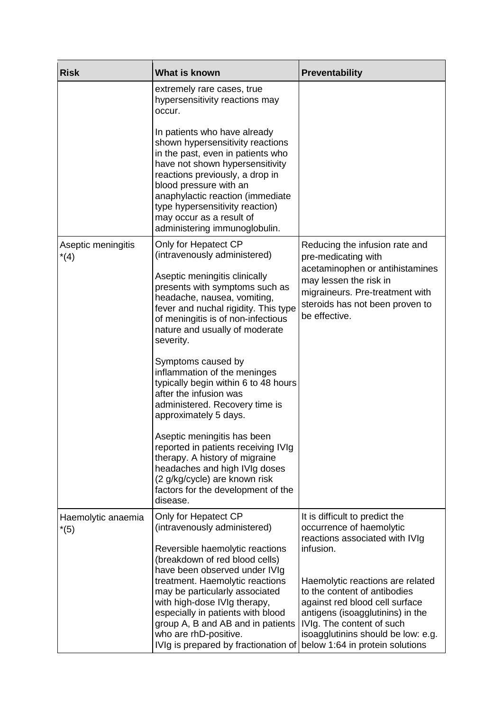| <b>Risk</b>                  | What is known                                                                                                                                                                                                                                                                                                                                      | Preventability                                                                                                                                                                                                                                            |
|------------------------------|----------------------------------------------------------------------------------------------------------------------------------------------------------------------------------------------------------------------------------------------------------------------------------------------------------------------------------------------------|-----------------------------------------------------------------------------------------------------------------------------------------------------------------------------------------------------------------------------------------------------------|
|                              | extremely rare cases, true<br>hypersensitivity reactions may<br>occur.                                                                                                                                                                                                                                                                             |                                                                                                                                                                                                                                                           |
|                              | In patients who have already<br>shown hypersensitivity reactions<br>in the past, even in patients who<br>have not shown hypersensitivity<br>reactions previously, a drop in<br>blood pressure with an<br>anaphylactic reaction (immediate<br>type hypersensitivity reaction)<br>may occur as a result of<br>administering immunoglobulin.          |                                                                                                                                                                                                                                                           |
| Aseptic meningitis<br>$*(4)$ | Only for Hepatect CP<br>(intravenously administered)                                                                                                                                                                                                                                                                                               | Reducing the infusion rate and<br>pre-medicating with                                                                                                                                                                                                     |
|                              | Aseptic meningitis clinically<br>presents with symptoms such as<br>headache, nausea, vomiting,<br>fever and nuchal rigidity. This type<br>of meningitis is of non-infectious<br>nature and usually of moderate<br>severity.                                                                                                                        | acetaminophen or antihistamines<br>may lessen the risk in<br>migraineurs. Pre-treatment with<br>steroids has not been proven to<br>be effective.                                                                                                          |
|                              | Symptoms caused by<br>inflammation of the meninges<br>typically begin within 6 to 48 hours<br>after the infusion was<br>administered. Recovery time is<br>approximately 5 days.                                                                                                                                                                    |                                                                                                                                                                                                                                                           |
|                              | Aseptic meningitis has been<br>reported in patients receiving IVIg<br>therapy. A history of migraine<br>headaches and high IVIg doses<br>(2 g/kg/cycle) are known risk<br>factors for the development of the<br>disease.                                                                                                                           |                                                                                                                                                                                                                                                           |
| Haemolytic anaemia<br>$*(5)$ | Only for Hepatect CP<br>(intravenously administered)                                                                                                                                                                                                                                                                                               | It is difficult to predict the<br>occurrence of haemolytic<br>reactions associated with IVIg                                                                                                                                                              |
|                              | Reversible haemolytic reactions<br>(breakdown of red blood cells)<br>have been observed under IVIg<br>treatment. Haemolytic reactions<br>may be particularly associated<br>with high-dose IVIg therapy,<br>especially in patients with blood<br>group A, B and AB and in patients<br>who are rhD-positive.<br>IVIg is prepared by fractionation of | infusion.<br>Haemolytic reactions are related<br>to the content of antibodies<br>against red blood cell surface<br>antigens (isoagglutinins) in the<br>IVIg. The content of such<br>isoagglutinins should be low: e.g.<br>below 1:64 in protein solutions |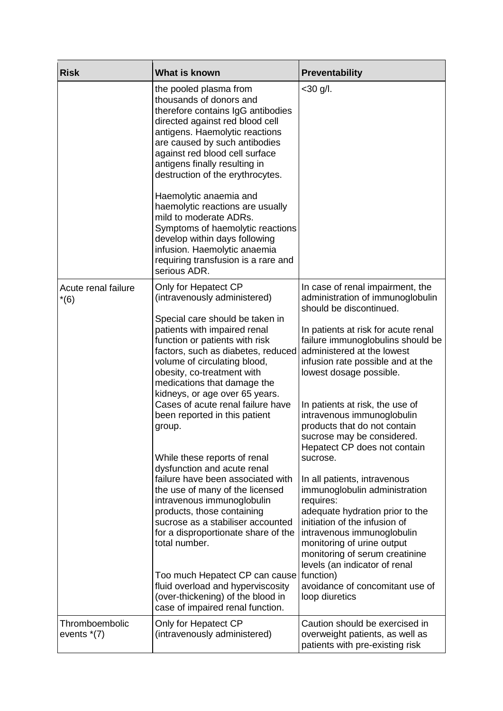| <b>Risk</b>                     | What is known                                                                                                                                                                                                                                                                                       | <b>Preventability</b>                                                                                                                                                                                                                                                         |
|---------------------------------|-----------------------------------------------------------------------------------------------------------------------------------------------------------------------------------------------------------------------------------------------------------------------------------------------------|-------------------------------------------------------------------------------------------------------------------------------------------------------------------------------------------------------------------------------------------------------------------------------|
|                                 | the pooled plasma from<br>thousands of donors and<br>therefore contains IgG antibodies<br>directed against red blood cell<br>antigens. Haemolytic reactions<br>are caused by such antibodies<br>against red blood cell surface<br>antigens finally resulting in<br>destruction of the erythrocytes. | $<$ 30 g/l.                                                                                                                                                                                                                                                                   |
|                                 | Haemolytic anaemia and<br>haemolytic reactions are usually<br>mild to moderate ADRs.<br>Symptoms of haemolytic reactions<br>develop within days following<br>infusion. Haemolytic anaemia<br>requiring transfusion is a rare and<br>serious ADR.                                                    |                                                                                                                                                                                                                                                                               |
| Acute renal failure<br>$*(6)$   | Only for Hepatect CP<br>(intravenously administered)                                                                                                                                                                                                                                                | In case of renal impairment, the<br>administration of immunoglobulin<br>should be discontinued.                                                                                                                                                                               |
|                                 | Special care should be taken in<br>patients with impaired renal<br>function or patients with risk<br>factors, such as diabetes, reduced<br>volume of circulating blood,<br>obesity, co-treatment with<br>medications that damage the<br>kidneys, or age over 65 years.                              | In patients at risk for acute renal<br>failure immunoglobulins should be<br>administered at the lowest<br>infusion rate possible and at the<br>lowest dosage possible.                                                                                                        |
|                                 | Cases of acute renal failure have<br>been reported in this patient<br>group.<br>While these reports of renal                                                                                                                                                                                        | In patients at risk, the use of<br>intravenous immunoglobulin<br>products that do not contain<br>sucrose may be considered.<br>Hepatect CP does not contain<br>sucrose.                                                                                                       |
|                                 | dysfunction and acute renal<br>failure have been associated with<br>the use of many of the licensed<br>intravenous immunoglobulin<br>products, those containing<br>sucrose as a stabiliser accounted<br>for a disproportionate share of the<br>total number.                                        | In all patients, intravenous<br>immunoglobulin administration<br>requires:<br>adequate hydration prior to the<br>initiation of the infusion of<br>intravenous immunoglobulin<br>monitoring of urine output<br>monitoring of serum creatinine<br>levels (an indicator of renal |
|                                 | Too much Hepatect CP can cause<br>fluid overload and hyperviscosity<br>(over-thickening) of the blood in<br>case of impaired renal function.                                                                                                                                                        | function)<br>avoidance of concomitant use of<br>loop diuretics                                                                                                                                                                                                                |
| Thromboembolic<br>events $*(7)$ | Only for Hepatect CP<br>(intravenously administered)                                                                                                                                                                                                                                                | Caution should be exercised in<br>overweight patients, as well as<br>patients with pre-existing risk                                                                                                                                                                          |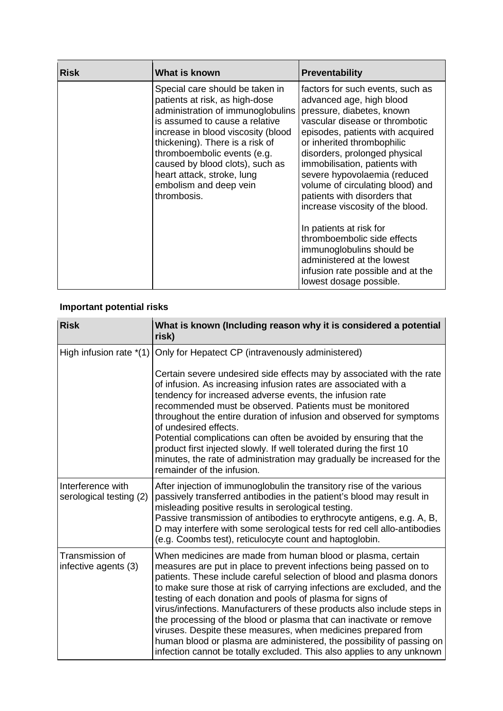| <b>Risk</b> | What is known                                                                                                                                                                                                                                                                                                                                              | <b>Preventability</b>                                                                                                                                                                                                                                                                                                                                                                                                                                                                                                                                                                        |
|-------------|------------------------------------------------------------------------------------------------------------------------------------------------------------------------------------------------------------------------------------------------------------------------------------------------------------------------------------------------------------|----------------------------------------------------------------------------------------------------------------------------------------------------------------------------------------------------------------------------------------------------------------------------------------------------------------------------------------------------------------------------------------------------------------------------------------------------------------------------------------------------------------------------------------------------------------------------------------------|
|             | Special care should be taken in<br>patients at risk, as high-dose<br>administration of immunoglobulins<br>is assumed to cause a relative<br>increase in blood viscosity (blood<br>thickening). There is a risk of<br>thromboembolic events (e.g.<br>caused by blood clots), such as<br>heart attack, stroke, lung<br>embolism and deep vein<br>thrombosis. | factors for such events, such as<br>advanced age, high blood<br>pressure, diabetes, known<br>vascular disease or thrombotic<br>episodes, patients with acquired<br>or inherited thrombophilic<br>disorders, prolonged physical<br>immobilisation, patients with<br>severe hypovolaemia (reduced<br>volume of circulating blood) and<br>patients with disorders that<br>increase viscosity of the blood.<br>In patients at risk for<br>thromboembolic side effects<br>immunoglobulins should be<br>administered at the lowest<br>infusion rate possible and at the<br>lowest dosage possible. |

# **Important potential risks**

| <b>Risk</b>                                  | What is known (Including reason why it is considered a potential<br>risk)                                                                                                                                                                                                                                                                                                                                                                                                                                                                                                                                                                                                                                               |
|----------------------------------------------|-------------------------------------------------------------------------------------------------------------------------------------------------------------------------------------------------------------------------------------------------------------------------------------------------------------------------------------------------------------------------------------------------------------------------------------------------------------------------------------------------------------------------------------------------------------------------------------------------------------------------------------------------------------------------------------------------------------------------|
| High infusion rate $*(1)$                    | Only for Hepatect CP (intravenously administered)                                                                                                                                                                                                                                                                                                                                                                                                                                                                                                                                                                                                                                                                       |
|                                              | Certain severe undesired side effects may by associated with the rate<br>of infusion. As increasing infusion rates are associated with a<br>tendency for increased adverse events, the infusion rate<br>recommended must be observed. Patients must be monitored<br>throughout the entire duration of infusion and observed for symptoms<br>of undesired effects.                                                                                                                                                                                                                                                                                                                                                       |
|                                              | Potential complications can often be avoided by ensuring that the<br>product first injected slowly. If well tolerated during the first 10<br>minutes, the rate of administration may gradually be increased for the<br>remainder of the infusion.                                                                                                                                                                                                                                                                                                                                                                                                                                                                       |
| Interference with<br>serological testing (2) | After injection of immunoglobulin the transitory rise of the various<br>passively transferred antibodies in the patient's blood may result in<br>misleading positive results in serological testing.<br>Passive transmission of antibodies to erythrocyte antigens, e.g. A, B,<br>D may interfere with some serological tests for red cell allo-antibodies<br>(e.g. Coombs test), reticulocyte count and haptoglobin.                                                                                                                                                                                                                                                                                                   |
| Transmission of<br>infective agents (3)      | When medicines are made from human blood or plasma, certain<br>measures are put in place to prevent infections being passed on to<br>patients. These include careful selection of blood and plasma donors<br>to make sure those at risk of carrying infections are excluded, and the<br>testing of each donation and pools of plasma for signs of<br>virus/infections. Manufacturers of these products also include steps in<br>the processing of the blood or plasma that can inactivate or remove<br>viruses. Despite these measures, when medicines prepared from<br>human blood or plasma are administered, the possibility of passing on<br>infection cannot be totally excluded. This also applies to any unknown |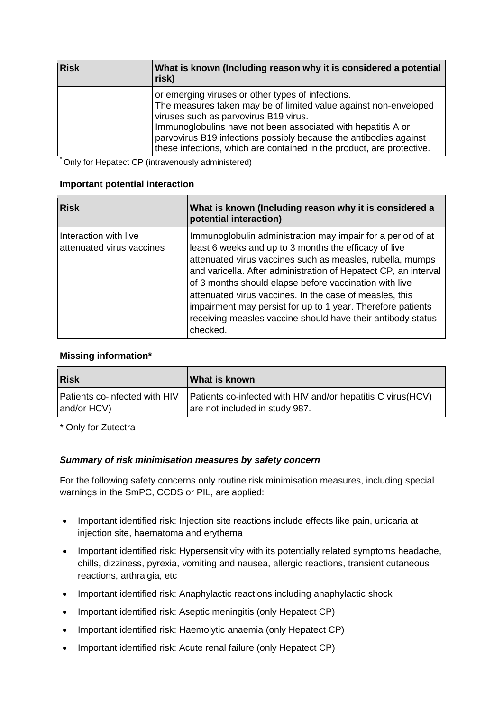| <b>Risk</b> | What is known (Including reason why it is considered a potential<br>risk)                                                                                                                                                                                                                                                                                                    |
|-------------|------------------------------------------------------------------------------------------------------------------------------------------------------------------------------------------------------------------------------------------------------------------------------------------------------------------------------------------------------------------------------|
|             | or emerging viruses or other types of infections.<br>The measures taken may be of limited value against non-enveloped<br>viruses such as parvovirus B19 virus.<br>Immunoglobulins have not been associated with hepatitis A or<br>parvovirus B19 infections possibly because the antibodies against<br>these infections, which are contained in the product, are protective. |

\* Only for Hepatect CP (intravenously administered)

#### **Important potential interaction**

| <b>Risk</b>                                        | What is known (Including reason why it is considered a<br>potential interaction)                                                                                                                                                                                                                                                                                                                                                                                                                                    |
|----------------------------------------------------|---------------------------------------------------------------------------------------------------------------------------------------------------------------------------------------------------------------------------------------------------------------------------------------------------------------------------------------------------------------------------------------------------------------------------------------------------------------------------------------------------------------------|
| Interaction with live<br>attenuated virus vaccines | Immunoglobulin administration may impair for a period of at<br>least 6 weeks and up to 3 months the efficacy of live<br>attenuated virus vaccines such as measles, rubella, mumps<br>and varicella. After administration of Hepatect CP, an interval<br>of 3 months should elapse before vaccination with live<br>attenuated virus vaccines. In the case of measles, this<br>impairment may persist for up to 1 year. Therefore patients<br>receiving measles vaccine should have their antibody status<br>checked. |

## **Missing information\***

| <b>Risk</b>                   | What is known                                                |
|-------------------------------|--------------------------------------------------------------|
| Patients co-infected with HIV | Patients co-infected with HIV and/or hepatitis C virus (HCV) |
| and/or HCV)                   | are not included in study 987.                               |

\* Only for Zutectra

#### *Summary of risk minimisation measures by safety concern*

For the following safety concerns only routine risk minimisation measures, including special warnings in the SmPC, CCDS or PIL, are applied:

- Important identified risk: Injection site reactions include effects like pain, urticaria at injection site, haematoma and erythema
- Important identified risk: Hypersensitivity with its potentially related symptoms headache, chills, dizziness, pyrexia, vomiting and nausea, allergic reactions, transient cutaneous reactions, arthralgia, etc
- Important identified risk: Anaphylactic reactions including anaphylactic shock
- Important identified risk: Aseptic meningitis (only Hepatect CP)
- Important identified risk: Haemolytic anaemia (only Hepatect CP)
- Important identified risk: Acute renal failure (only Hepatect CP)